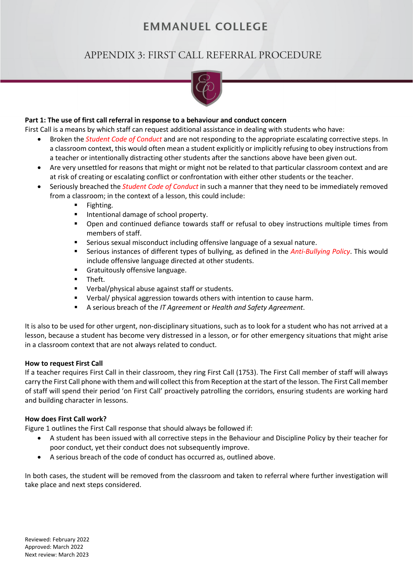# **EMMANUEL COLLEGE**

# APPENDIX 3: FIRST CALL REFERRAL PROCEDURE



## **Part 1: The use of first call referral in response to a behaviour and conduct concern**

First Call is a means by which staff can request additional assistance in dealing with students who have:

- Broken the *Student Code of Conduct* and are not responding to the appropriate escalating corrective steps. In a classroom context, this would often mean a student explicitly or implicitly refusing to obey instructions from a teacher or intentionally distracting other students after the sanctions above have been given out.
- Are very unsettled for reasons that might or might not be related to that particular classroom context and are at risk of creating or escalating conflict or confrontation with either other students or the teacher.
- Seriously breached the *Student Code of Conduct* in such a manner that they need to be immediately removed from a classroom; in the context of a lesson, this could include:
	- **Fighting.**
	- **Intentional damage of school property.**
	- Open and continued defiance towards staff or refusal to obey instructions multiple times from members of staff.
	- Serious sexual misconduct including offensive language of a sexual nature.
	- Serious instances of different types of bullying, as defined in the *Anti-Bullying Policy*. This would include offensive language directed at other students.
	- **Gratuitously offensive language.**
	- **Theft.**
	- **•** Verbal/physical abuse against staff or students.
	- **•** Verbal/ physical aggression towards others with intention to cause harm.
	- A serious breach of the *IT Agreement* or *Health and Safety Agreement*.

It is also to be used for other urgent, non-disciplinary situations, such as to look for a student who has not arrived at a lesson, because a student has become very distressed in a lesson, or for other emergency situations that might arise in a classroom context that are not always related to conduct.

## **How to request First Call**

If a teacher requires First Call in their classroom, they ring First Call (1753). The First Call member of staff will always carry the First Call phone with them and will collect this from Reception at the start of the lesson. The First Call member of staff will spend their period 'on First Call' proactively patrolling the corridors, ensuring students are working hard and building character in lessons.

## **How does First Call work?**

Figure 1 outlines the First Call response that should always be followed if:

- A student has been issued with all corrective steps in the Behaviour and Discipline Policy by their teacher for poor conduct, yet their conduct does not subsequently improve.
- A serious breach of the code of conduct has occurred as, outlined above.

In both cases, the student will be removed from the classroom and taken to referral where further investigation will take place and next steps considered.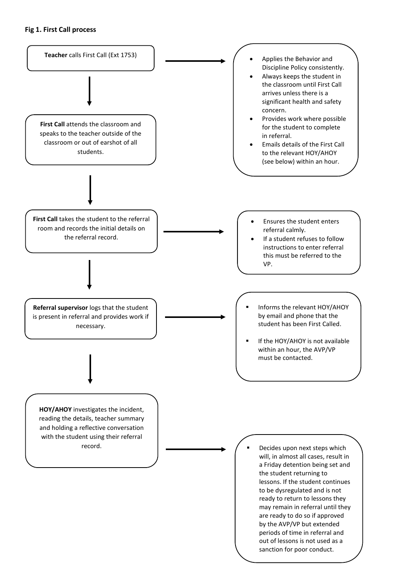## **Fig 1. First Call process**

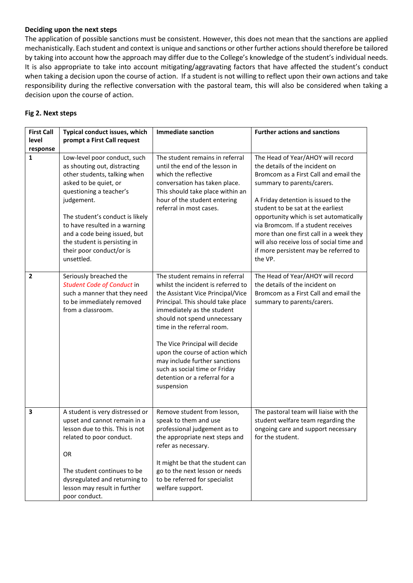## **Deciding upon the next steps**

The application of possible sanctions must be consistent. However, this does not mean that the sanctions are applied mechanistically. Each student and context is unique and sanctions or other further actionsshould therefore be tailored by taking into account how the approach may differ due to the College's knowledge of the student's individual needs. It is also appropriate to take into account mitigating/aggravating factors that have affected the student's conduct when taking a decision upon the course of action. If a student is not willing to reflect upon their own actions and take responsibility during the reflective conversation with the pastoral team, this will also be considered when taking a decision upon the course of action.

## **Fig 2. Next steps**

| <b>First Call</b> | Typical conduct issues, which                                                                                                                                                                                                                                                                                                                | <b>Immediate sanction</b>                                                                                                                                                                                                                                                                                                                                                                                                         | <b>Further actions and sanctions</b>                                                                                                                                                                                                                                                                                                                                                                                                               |
|-------------------|----------------------------------------------------------------------------------------------------------------------------------------------------------------------------------------------------------------------------------------------------------------------------------------------------------------------------------------------|-----------------------------------------------------------------------------------------------------------------------------------------------------------------------------------------------------------------------------------------------------------------------------------------------------------------------------------------------------------------------------------------------------------------------------------|----------------------------------------------------------------------------------------------------------------------------------------------------------------------------------------------------------------------------------------------------------------------------------------------------------------------------------------------------------------------------------------------------------------------------------------------------|
| level             | prompt a First Call request                                                                                                                                                                                                                                                                                                                  |                                                                                                                                                                                                                                                                                                                                                                                                                                   |                                                                                                                                                                                                                                                                                                                                                                                                                                                    |
| response          |                                                                                                                                                                                                                                                                                                                                              |                                                                                                                                                                                                                                                                                                                                                                                                                                   |                                                                                                                                                                                                                                                                                                                                                                                                                                                    |
| 1                 | Low-level poor conduct, such<br>as shouting out, distracting<br>other students, talking when<br>asked to be quiet, or<br>questioning a teacher's<br>judgement.<br>The student's conduct is likely<br>to have resulted in a warning<br>and a code being issued, but<br>the student is persisting in<br>their poor conduct/or is<br>unsettled. | The student remains in referral<br>until the end of the lesson in<br>which the reflective<br>conversation has taken place.<br>This should take place within an<br>hour of the student entering<br>referral in most cases.                                                                                                                                                                                                         | The Head of Year/AHOY will record<br>the details of the incident on<br>Bromcom as a First Call and email the<br>summary to parents/carers.<br>A Friday detention is issued to the<br>student to be sat at the earliest<br>opportunity which is set automatically<br>via Bromcom. If a student receives<br>more than one first call in a week they<br>will also receive loss of social time and<br>if more persistent may be referred to<br>the VP. |
| $\overline{2}$    | Seriously breached the<br>Student Code of Conduct in<br>such a manner that they need<br>to be immediately removed<br>from a classroom.                                                                                                                                                                                                       | The student remains in referral<br>whilst the incident is referred to<br>the Assistant Vice Principal/Vice<br>Principal. This should take place<br>immediately as the student<br>should not spend unnecessary<br>time in the referral room.<br>The Vice Principal will decide<br>upon the course of action which<br>may include further sanctions<br>such as social time or Friday<br>detention or a referral for a<br>suspension | The Head of Year/AHOY will record<br>the details of the incident on<br>Bromcom as a First Call and email the<br>summary to parents/carers.                                                                                                                                                                                                                                                                                                         |
| 3                 | A student is very distressed or<br>upset and cannot remain in a<br>lesson due to this. This is not<br>related to poor conduct.<br>OR<br>The student continues to be<br>dysregulated and returning to<br>lesson may result in further<br>poor conduct.                                                                                        | Remove student from lesson,<br>speak to them and use<br>professional judgement as to<br>the appropriate next steps and<br>refer as necessary.<br>It might be that the student can<br>go to the next lesson or needs<br>to be referred for specialist<br>welfare support.                                                                                                                                                          | The pastoral team will liaise with the<br>student welfare team regarding the<br>ongoing care and support necessary<br>for the student.                                                                                                                                                                                                                                                                                                             |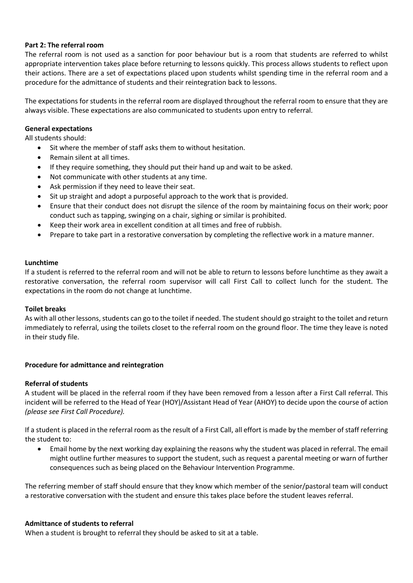## **Part 2: The referral room**

The referral room is not used as a sanction for poor behaviour but is a room that students are referred to whilst appropriate intervention takes place before returning to lessons quickly. This process allows students to reflect upon their actions. There are a set of expectations placed upon students whilst spending time in the referral room and a procedure for the admittance of students and their reintegration back to lessons.

The expectations for students in the referral room are displayed throughout the referral room to ensure that they are always visible. These expectations are also communicated to students upon entry to referral.

## **General expectations**

All students should:

- Sit where the member of staff asks them to without hesitation.
- Remain silent at all times.
- If they require something, they should put their hand up and wait to be asked.
- Not communicate with other students at any time.
- Ask permission if they need to leave their seat.
- Sit up straight and adopt a purposeful approach to the work that is provided.
- Ensure that their conduct does not disrupt the silence of the room by maintaining focus on their work; poor conduct such as tapping, swinging on a chair, sighing or similar is prohibited.
- Keep their work area in excellent condition at all times and free of rubbish.
- Prepare to take part in a restorative conversation by completing the reflective work in a mature manner.

## **Lunchtime**

If a student is referred to the referral room and will not be able to return to lessons before lunchtime as they await a restorative conversation, the referral room supervisor will call First Call to collect lunch for the student. The expectations in the room do not change at lunchtime.

## **Toilet breaks**

As with all other lessons, students can go to the toilet if needed. The student should go straight to the toilet and return immediately to referral, using the toilets closet to the referral room on the ground floor. The time they leave is noted in their study file.

## **Procedure for admittance and reintegration**

## **Referral of students**

A student will be placed in the referral room if they have been removed from a lesson after a First Call referral. This incident will be referred to the Head of Year (HOY)/Assistant Head of Year (AHOY) to decide upon the course of action *(please see First Call Procedure).* 

If a student is placed in the referral room as the result of a First Call, all effort is made by the member of staff referring the student to:

• Email home by the next working day explaining the reasons why the student was placed in referral. The email might outline further measures to support the student, such as request a parental meeting or warn of further consequences such as being placed on the Behaviour Intervention Programme.

The referring member of staff should ensure that they know which member of the senior/pastoral team will conduct a restorative conversation with the student and ensure this takes place before the student leaves referral.

#### **Admittance of students to referral**

When a student is brought to referral they should be asked to sit at a table.